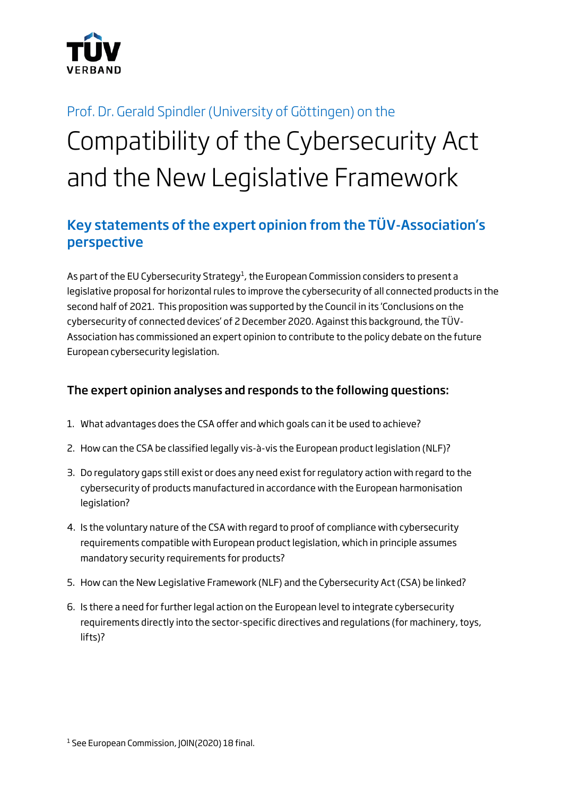

# Prof. Dr. Gerald Spindler (University of Göttingen) on the Compatibility of the Cybersecurity Act and the New Legislative Framework

# Key statements of the expert opinion from the TÜV-Association's perspective

As part of the EU Cybersecurity Strategy<sup>1</sup>, the European Commission considers to present a legislative proposal for horizontal rules to improve the cybersecurity of all connected products in the second half of 2021. This proposition was supported by the Council in its 'Conclusions on the cybersecurity of connected devices' of 2 December 2020. Against this background, the TÜV-Association has commissioned an expert opinion to contribute to the policy debate on the future European cybersecurity legislation.

#### The expert opinion analyses and responds to the following questions:

- 1. What advantages does the CSA offer and which goals can it be used to achieve?
- 2. How can the CSA be classified legally vis-à-vis the European product legislation (NLF)?
- 3. Do regulatory gaps still exist or does any need exist for regulatory action with regard to the cybersecurity of products manufactured in accordance with the European harmonisation legislation?
- 4. Is the voluntary nature of the CSA with regard to proof of compliance with cybersecurity requirements compatible with European product legislation, which in principle assumes mandatory security requirements for products?
- 5. How can the New Legislative Framework (NLF) and the Cybersecurity Act (CSA) be linked?
- 6. Is there a need for further legal action on the European level to integrate cybersecurity requirements directly into the sector-specific directives and regulations (for machinery, toys, lifts)?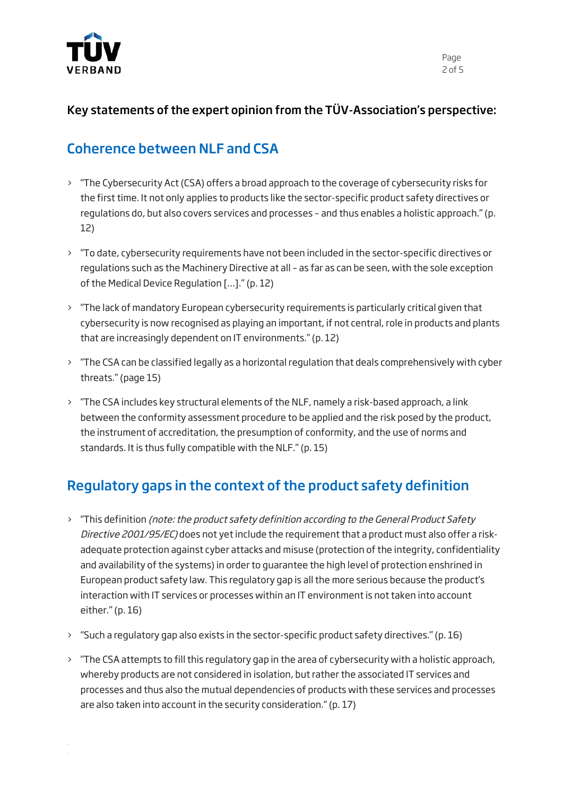

#### Key statements of the expert opinion from the TÜV-Association's perspective:

#### Coherence between NLF and CSA

- > "The Cybersecurity Act (CSA) offers a broad approach to the coverage of cybersecurity risks for the first time. It not only applies to products like the sector-specific product safety directives or regulations do, but also covers services and processes – and thus enables a holistic approach." (p. 12)
- > "To date, cybersecurity requirements have not been included in the sector-specific directives or regulations such as the Machinery Directive at all – as far as can be seen, with the sole exception of the Medical Device Regulation […]." (p. 12)
- > "The lack of mandatory European cybersecurity requirements is particularly critical given that cybersecurity is now recognised as playing an important, if not central, role in products and plants that are increasingly dependent on IT environments." (p. 12)
- > "The CSA can be classified legally as a horizontal regulation that deals comprehensively with cyber threats." (page 15)
- > "The CSA includes key structural elements of the NLF, namely a risk-based approach, a link between the conformity assessment procedure to be applied and the risk posed by the product, the instrument of accreditation, the presumption of conformity, and the use of norms and standards. It is thus fully compatible with the NLF." (p. 15)

# Regulatory gaps in the context of the product safety definition

- > "This definition (note: the product safety definition according to the General Product Safety Directive 2001/95/EC) does not yet include the requirement that a product must also offer a riskadequate protection against cyber attacks and misuse (protection of the integrity, confidentiality and availability of the systems) in order to guarantee the high level of protection enshrined in European product safety law. This regulatory gap is all the more serious because the product's interaction with IT services or processes within an IT environment is not taken into account either." (p. 16)
- > "Such a regulatory gap also exists in the sector-specific product safety directives." (p. 16)
- > "The CSA attempts to fill this regulatory gap in the area of cybersecurity with a holistic approach, whereby products are not considered in isolation, but rather the associated IT services and processes and thus also the mutual dependencies of products with these services and processes are also taken into account in the security consideration." (p. 17)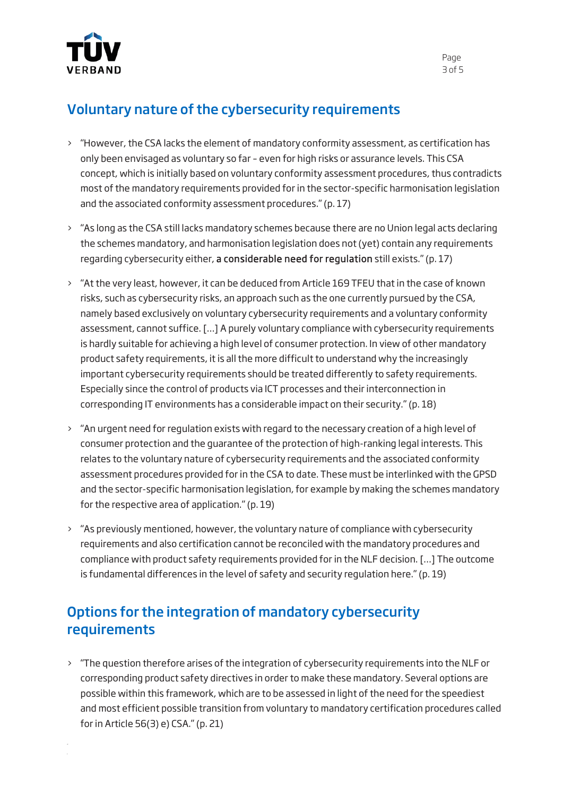

## Voluntary nature of the cybersecurity requirements

- > "However, the CSA lacks the element of mandatory conformity assessment, as certification has only been envisaged as voluntary so far – even for high risks or assurance levels. This CSA concept, which is initially based on voluntary conformity assessment procedures, thus contradicts most of the mandatory requirements provided for in the sector-specific harmonisation legislation and the associated conformity assessment procedures." (p. 17)
- > "As long as the CSA still lacks mandatory schemes because there are no Union legal acts declaring the schemes mandatory, and harmonisation legislation does not (yet) contain any requirements regarding cybersecurity either, a considerable need for regulation still exists." (p. 17)
- > "At the very least, however, it can be deduced from Article 169 TFEU that in the case of known risks, such as cybersecurity risks, an approach such as the one currently pursued by the CSA, namely based exclusively on voluntary cybersecurity requirements and a voluntary conformity assessment, cannot suffice. […] A purely voluntary compliance with cybersecurity requirements is hardly suitable for achieving a high level of consumer protection. In view of other mandatory product safety requirements, it is all the more difficult to understand why the increasingly important cybersecurity requirements should be treated differently to safety requirements. Especially since the control of products via ICT processes and their interconnection in corresponding IT environments has a considerable impact on their security." (p. 18)
- > "An urgent need for regulation exists with regard to the necessary creation of a high level of consumer protection and the guarantee of the protection of high-ranking legal interests. This relates to the voluntary nature of cybersecurity requirements and the associated conformity assessment procedures provided for in the CSA to date. These must be interlinked with the GPSD and the sector-specific harmonisation legislation, for example by making the schemes mandatory for the respective area of application." (p. 19)
- > "As previously mentioned, however, the voluntary nature of compliance with cybersecurity requirements and also certification cannot be reconciled with the mandatory procedures and compliance with product safety requirements provided for in the NLF decision. […] The outcome is fundamental differences in the level of safety and security regulation here." (p. 19)

## Options for the integration of mandatory cybersecurity requirements

> "The question therefore arises of the integration of cybersecurity requirements into the NLF or corresponding product safety directives in order to make these mandatory. Several options are possible within this framework, which are to be assessed in light of the need for the speediest and most efficient possible transition from voluntary to mandatory certification procedures called for in Article 56(3) e) CSA." (p. 21)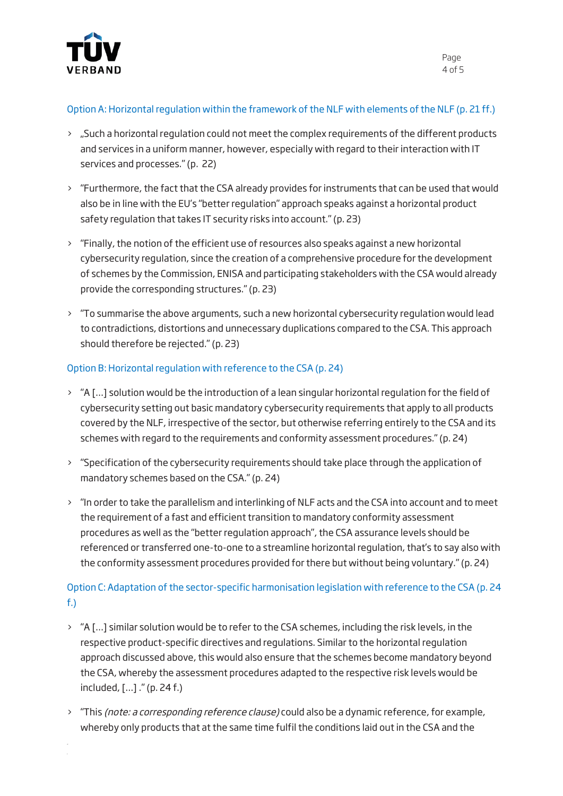

#### Option A: Horizontal regulation within the framework of the NLF with elements of the NLF (p. 21 ff.)

- > "Such a horizontal regulation could not meet the complex requirements of the different products and services in a uniform manner, however, especially with regard to their interaction with IT services and processes." (p. 22)
- > "Furthermore, the fact that the CSA already provides for instruments that can be used that would also be in line with the EU's "better regulation" approach speaks against a horizontal product safety regulation that takes IT security risks into account." (p. 23)
- > "Finally, the notion of the efficient use of resources also speaks against a new horizontal cybersecurity regulation, since the creation of a comprehensive procedure for the development of schemes by the Commission, ENISA and participating stakeholders with the CSA would already provide the corresponding structures." (p. 23)
- > "To summarise the above arguments, such a new horizontal cybersecurity regulation would lead to contradictions, distortions and unnecessary duplications compared to the CSA. This approach should therefore be rejected." (p. 23)

#### Option B: Horizontal regulation with reference to the CSA (p. 24)

- > "A […] solution would be the introduction of a lean singular horizontal regulation for the field of cybersecurity setting out basic mandatory cybersecurity requirements that apply to all products covered by the NLF, irrespective of the sector, but otherwise referring entirely to the CSA and its schemes with regard to the requirements and conformity assessment procedures." (p. 24)
- > "Specification of the cybersecurity requirements should take place through the application of mandatory schemes based on the CSA." (p. 24)
- > "In order to take the parallelism and interlinking of NLF acts and the CSA into account and to meet the requirement of a fast and efficient transition to mandatory conformity assessment procedures as well as the "better regulation approach", the CSA assurance levels should be referenced or transferred one-to-one to a streamline horizontal regulation, that's to say also with the conformity assessment procedures provided for there but without being voluntary." (p. 24)

#### Option C: Adaptation of the sector-specific harmonisation legislation with reference to the CSA (p. 24 f.)

- > "A […] similar solution would be to refer to the CSA schemes, including the risk levels, in the respective product-specific directives and regulations. Similar to the horizontal regulation approach discussed above, this would also ensure that the schemes become mandatory beyond the CSA, whereby the assessment procedures adapted to the respective risk levels would be included, […] ." (p. 24 f.)
- > "This (note: a corresponding reference clause) could also be a dynamic reference, for example, whereby only products that at the same time fulfil the conditions laid out in the CSA and the